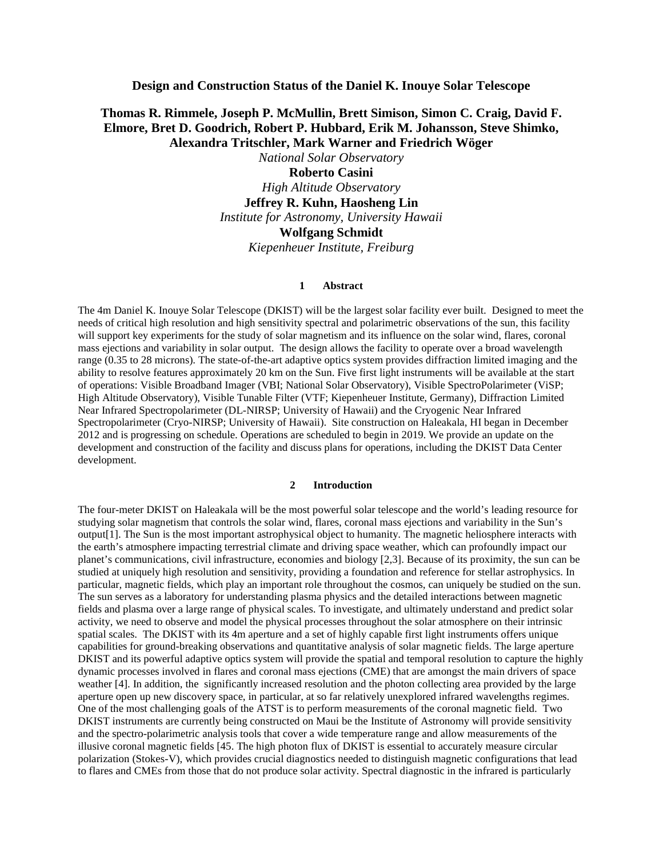### **Design and Construction Status of the Daniel K. Inouye Solar Telescope**

# **Thomas R. Rimmele, Joseph P. McMullin, Brett Simison, Simon C. Craig, David F. Elmore, Bret D. Goodrich, Robert P. Hubbard, Erik M. Johansson, Steve Shimko, Alexandra Tritschler, Mark Warner and Friedrich Wöger**

*National Solar Observatory* 

**Roberto Casini** *High Altitude Observatory*  **Jeffrey R. Kuhn, Haosheng Lin** *Institute for Astronomy, University Hawaii* **Wolfgang Schmidt** *Kiepenheuer Institute, Freiburg*

### **1 Abstract**

The 4m Daniel K. Inouye Solar Telescope (DKIST) will be the largest solar facility ever built. Designed to meet the needs of critical high resolution and high sensitivity spectral and polarimetric observations of the sun, this facility will support key experiments for the study of solar magnetism and its influence on the solar wind, flares, coronal mass ejections and variability in solar output. The design allows the facility to operate over a broad wavelength range (0.35 to 28 microns). The state-of-the-art adaptive optics system provides diffraction limited imaging and the ability to resolve features approximately 20 km on the Sun. Five first light instruments will be available at the start of operations: Visible Broadband Imager (VBI; National Solar Observatory), Visible SpectroPolarimeter (ViSP; High Altitude Observatory), Visible Tunable Filter (VTF; Kiepenheuer Institute, Germany), Diffraction Limited Near Infrared Spectropolarimeter (DL-NIRSP; University of Hawaii) and the Cryogenic Near Infrared Spectropolarimeter (Cryo-NIRSP; University of Hawaii). Site construction on Haleakala, HI began in December 2012 and is progressing on schedule. Operations are scheduled to begin in 2019. We provide an update on the development and construction of the facility and discuss plans for operations, including the DKIST Data Center development.

#### **2 Introduction**

The four-meter DKIST on Haleakala will be the most powerful solar telescope and the world's leading resource for studying solar magnetism that controls the solar wind, flares, coronal mass ejections and variability in the Sun's output[1]. The Sun is the most important astrophysical object to humanity. The magnetic heliosphere interacts with the earth's atmosphere impacting terrestrial climate and driving space weather, which can profoundly impact our planet's communications, civil infrastructure, economies and biology [2,3]. Because of its proximity, the sun can be studied at uniquely high resolution and sensitivity, providing a foundation and reference for stellar astrophysics. In particular, magnetic fields, which play an important role throughout the cosmos, can uniquely be studied on the sun. The sun serves as a laboratory for understanding plasma physics and the detailed interactions between magnetic fields and plasma over a large range of physical scales. To investigate, and ultimately understand and predict solar activity, we need to observe and model the physical processes throughout the solar atmosphere on their intrinsic spatial scales. The DKIST with its 4m aperture and a set of highly capable first light instruments offers unique capabilities for ground-breaking observations and quantitative analysis of solar magnetic fields. The large aperture DKIST and its powerful adaptive optics system will provide the spatial and temporal resolution to capture the highly dynamic processes involved in flares and coronal mass ejections (CME) that are amongst the main drivers of space weather [4]. In addition, the significantly increased resolution and the photon collecting area provided by the large aperture open up new discovery space, in particular, at so far relatively unexplored infrared wavelengths regimes. One of the most challenging goals of the ATST is to perform measurements of the coronal magnetic field. Two DKIST instruments are currently being constructed on Maui be the Institute of Astronomy will provide sensitivity and the spectro-polarimetric analysis tools that cover a wide temperature range and allow measurements of the illusive coronal magnetic fields [45. The high photon flux of DKIST is essential to accurately measure circular polarization (Stokes-V), which provides crucial diagnostics needed to distinguish magnetic configurations that lead to flares and CMEs from those that do not produce solar activity. Spectral diagnostic in the infrared is particularly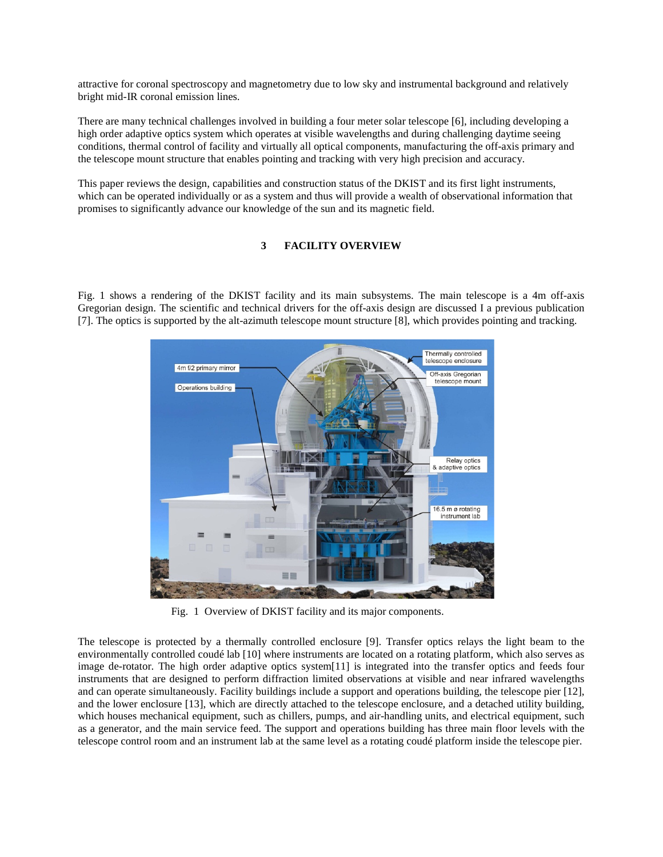attractive for coronal spectroscopy and magnetometry due to low sky and instrumental background and relatively bright mid-IR coronal emission lines.

There are many technical challenges involved in building a four meter solar telescope [6], including developing a high order adaptive optics system which operates at visible wavelengths and during challenging daytime seeing conditions, thermal control of facility and virtually all optical components, manufacturing the off-axis primary and the telescope mount structure that enables pointing and tracking with very high precision and accuracy.

This paper reviews the design, capabilities and construction status of the DKIST and its first light instruments, which can be operated individually or as a system and thus will provide a wealth of observational information that promises to significantly advance our knowledge of the sun and its magnetic field.

### **3 FACILITY OVERVIEW**

Fig. 1 shows a rendering of the DKIST facility and its main subsystems. The main telescope is a 4m off-axis Gregorian design. The scientific and technical drivers for the off-axis design are discussed I a previous publication [7]. The optics is supported by the alt-azimuth telescope mount structure [8], which provides pointing and tracking.



Fig. 1 Overview of DKIST facility and its major components.

The telescope is protected by a thermally controlled enclosure [9]. Transfer optics relays the light beam to the environmentally controlled coudé lab [10] where instruments are located on a rotating platform, which also serves as image de-rotator. The high order adaptive optics system[11] is integrated into the transfer optics and feeds four instruments that are designed to perform diffraction limited observations at visible and near infrared wavelengths and can operate simultaneously. Facility buildings include a support and operations building, the telescope pier [12], and the lower enclosure [13], which are directly attached to the telescope enclosure, and a detached utility building, which houses mechanical equipment, such as chillers, pumps, and air-handling units, and electrical equipment, such as a generator, and the main service feed. The support and operations building has three main floor levels with the telescope control room and an instrument lab at the same level as a rotating coudé platform inside the telescope pier.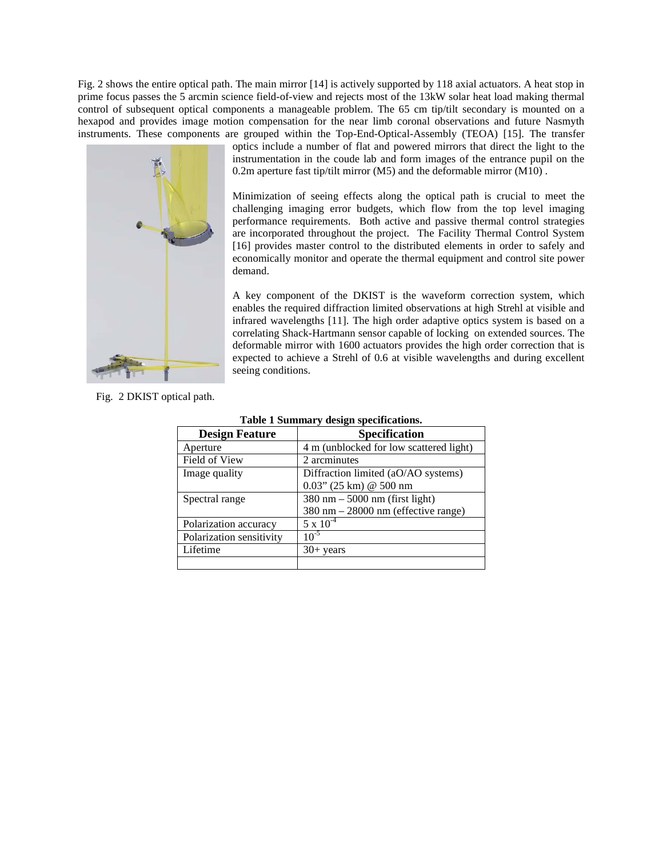Fig. 2 shows the entire optical path. The main mirror [14] is actively supported by 118 axial actuators. A heat stop in prime focus passes the 5 arcmin science field-of-view and rejects most of the 13kW solar heat load making thermal control of subsequent optical components a manageable problem. The 65 cm tip/tilt secondary is mounted on a hexapod and provides image motion compensation for the near limb coronal observations and future Nasmyth instruments. These components are grouped within the Top-End-Optical-Assembly (TEOA) [15]. The transfer



Fig. 2 DKIST optical path.

optics include a number of flat and powered mirrors that direct the light to the instrumentation in the coude lab and form images of the entrance pupil on the 0.2m aperture fast tip/tilt mirror (M5) and the deformable mirror (M10) .

Minimization of seeing effects along the optical path is crucial to meet the challenging imaging error budgets, which flow from the top level imaging performance requirements. Both active and passive thermal control strategies are incorporated throughout the project. The Facility Thermal Control System [16] provides master control to the distributed elements in order to safely and economically monitor and operate the thermal equipment and control site power demand.

A key component of the DKIST is the waveform correction system, which enables the required diffraction limited observations at high Strehl at visible and infrared wavelengths [11]. The high order adaptive optics system is based on a correlating Shack-Hartmann sensor capable of locking on extended sources. The deformable mirror with 1600 actuators provides the high order correction that is expected to achieve a Strehl of 0.6 at visible wavelengths and during excellent seeing conditions.

| тарк траницату асяди эреспісацопя. |                                         |  |  |
|------------------------------------|-----------------------------------------|--|--|
| <b>Design Feature</b>              | Specification                           |  |  |
| Aperture                           | 4 m (unblocked for low scattered light) |  |  |
| Field of View                      | 2 arcminutes                            |  |  |
| Image quality                      | Diffraction limited (aO/AO systems)     |  |  |
|                                    | $0.03$ " (25 km) @ 500 nm               |  |  |
| Spectral range                     | $380$ nm $-5000$ nm (first light)       |  |  |
|                                    | 380 nm - 28000 nm (effective range)     |  |  |
| Polarization accuracy              | $5 \times 10^{-4}$                      |  |  |
| Polarization sensitivity           | $10^{-5}$                               |  |  |
| Lifetime                           | $30+$ years                             |  |  |
|                                    |                                         |  |  |

### **Table 1 Summary design specifications.**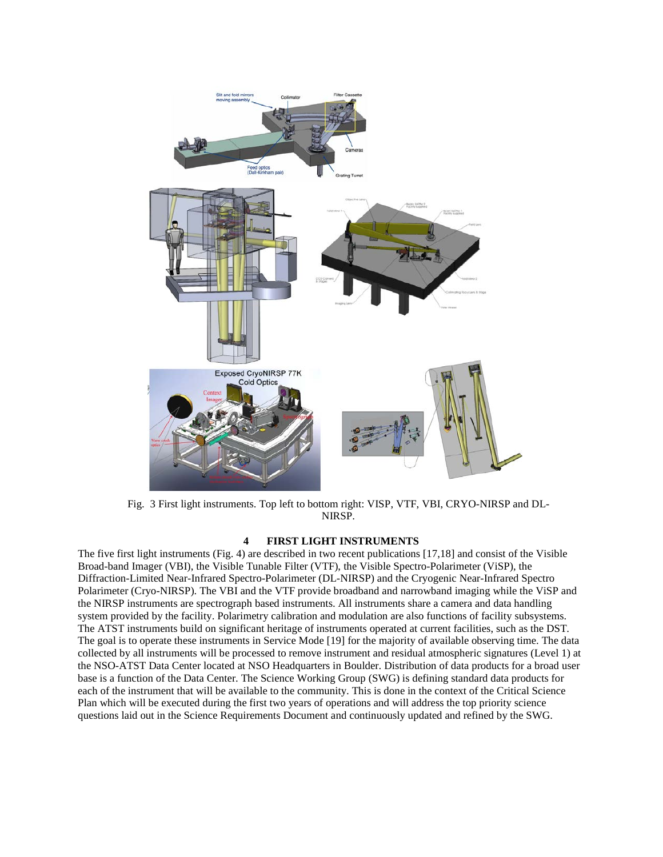

Fig. 3 First light instruments. Top left to bottom right: VISP, VTF, VBI, CRYO-NIRSP and DL-NIRSP.

## **4 FIRST LIGHT INSTRUMENTS**

The five first light instruments (Fig. 4) are described in two recent publications [17,18] and consist of the Visible Broad-band Imager (VBI), the Visible Tunable Filter (VTF), the Visible Spectro-Polarimeter (ViSP), the Diffraction-Limited Near-Infrared Spectro-Polarimeter (DL-NIRSP) and the Cryogenic Near-Infrared Spectro Polarimeter (Cryo-NIRSP). The VBI and the VTF provide broadband and narrowband imaging while the ViSP and the NIRSP instruments are spectrograph based instruments. All instruments share a camera and data handling system provided by the facility. Polarimetry calibration and modulation are also functions of facility subsystems. The ATST instruments build on significant heritage of instruments operated at current facilities, such as the DST. The goal is to operate these instruments in Service Mode [19] for the majority of available observing time. The data collected by all instruments will be processed to remove instrument and residual atmospheric signatures (Level 1) at the NSO-ATST Data Center located at NSO Headquarters in Boulder. Distribution of data products for a broad user base is a function of the Data Center. The Science Working Group (SWG) is defining standard data products for each of the instrument that will be available to the community. This is done in the context of the Critical Science Plan which will be executed during the first two years of operations and will address the top priority science questions laid out in the Science Requirements Document and continuously updated and refined by the SWG.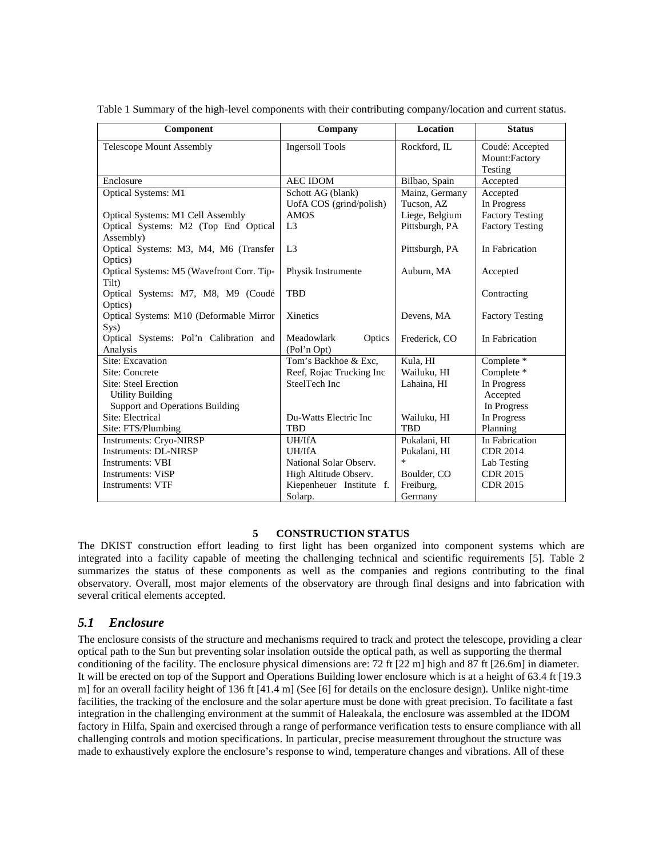| Component                                 | Company                  | <b>Location</b> | <b>Status</b>          |
|-------------------------------------------|--------------------------|-----------------|------------------------|
| <b>Telescope Mount Assembly</b>           | <b>Ingersoll Tools</b>   | Rockford, IL    | Coudé: Accepted        |
|                                           |                          |                 | Mount:Factory          |
|                                           |                          |                 | Testing                |
| Enclosure                                 | <b>AEC IDOM</b>          | Bilbao, Spain   | Accepted               |
| Optical Systems: M1                       | Schott AG (blank)        | Mainz, Germany  | Accepted               |
|                                           | UofA COS (grind/polish)  | Tucson, AZ      | In Progress            |
| Optical Systems: M1 Cell Assembly         | <b>AMOS</b>              | Liege, Belgium  | <b>Factory Testing</b> |
| Optical Systems: M2 (Top End Optical      | L <sub>3</sub>           | Pittsburgh, PA  | <b>Factory Testing</b> |
| Assembly)                                 |                          |                 |                        |
| Optical Systems: M3, M4, M6 (Transfer     | L <sub>3</sub>           | Pittsburgh, PA  | In Fabrication         |
| Optics)                                   |                          |                 |                        |
| Optical Systems: M5 (Wavefront Corr. Tip- | Physik Instrumente       | Auburn, MA      | Accepted               |
| Tilt)                                     |                          |                 |                        |
| Optical Systems: M7, M8, M9 (Coudé        | <b>TBD</b>               |                 | Contracting            |
| Optics)                                   |                          |                 |                        |
| Optical Systems: M10 (Deformable Mirror   | Xinetics                 | Devens, MA      | <b>Factory Testing</b> |
| Sys)                                      |                          |                 |                        |
| Optical Systems: Pol'n Calibration and    | Meadowlark<br>Optics     | Frederick, CO   | In Fabrication         |
| Analysis                                  | (Pol'n Opt)              |                 |                        |
| Site: Excavation                          | Tom's Backhoe & Exc.     | Kula, HI        | Complete *             |
| Site: Concrete                            | Reef, Rojac Trucking Inc | Wailuku, HI     | Complete *             |
| Site: Steel Erection                      | SteelTech Inc            | Lahaina, HI     | In Progress            |
| <b>Utility Building</b>                   |                          |                 | Accepted               |
| <b>Support and Operations Building</b>    |                          |                 | In Progress            |
| Site: Electrical                          | Du-Watts Electric Inc.   | Wailuku, HI     | In Progress            |
| Site: FTS/Plumbing                        | <b>TBD</b>               | TBD             | Planning               |
| <b>Instruments: Cryo-NIRSP</b>            | UH/IfA                   | Pukalani, HI    | In Fabrication         |
| <b>Instruments: DL-NIRSP</b>              | UH/IfA                   | Pukalani, HI    | <b>CDR 2014</b>        |
| Instruments: VBI                          | National Solar Observ.   | $\ast$          | Lab Testing            |
| <b>Instruments: ViSP</b>                  | High Altitude Observ.    | Boulder, CO     | <b>CDR 2015</b>        |
| <b>Instruments: VTF</b>                   | Kiepenheuer Institute f. | Freiburg,       | <b>CDR 2015</b>        |
|                                           | Solarp.                  | Germany         |                        |

Table 1 Summary of the high-level components with their contributing company/location and current status.

#### **5 CONSTRUCTION STATUS**

The DKIST construction effort leading to first light has been organized into component systems which are integrated into a facility capable of meeting the challenging technical and scientific requirements [5]. Table 2 summarizes the status of these components as well as the companies and regions contributing to the final observatory. Overall, most major elements of the observatory are through final designs and into fabrication with several critical elements accepted.

## *5.1 Enclosure*

The enclosure consists of the structure and mechanisms required to track and protect the telescope, providing a clear optical path to the Sun but preventing solar insolation outside the optical path, as well as supporting the thermal conditioning of the facility. The enclosure physical dimensions are: 72 ft [22 m] high and 87 ft [26.6m] in diameter. It will be erected on top of the Support and Operations Building lower enclosure which is at a height of 63.4 ft [19.3 m] for an overall facility height of 136 ft [41.4 m] (See [6] for details on the enclosure design). Unlike night-time facilities, the tracking of the enclosure and the solar aperture must be done with great precision. To facilitate a fast integration in the challenging environment at the summit of Haleakala, the enclosure was assembled at the IDOM factory in Hilfa, Spain and exercised through a range of performance verification tests to ensure compliance with all challenging controls and motion specifications. In particular, precise measurement throughout the structure was made to exhaustively explore the enclosure's response to wind, temperature changes and vibrations. All of these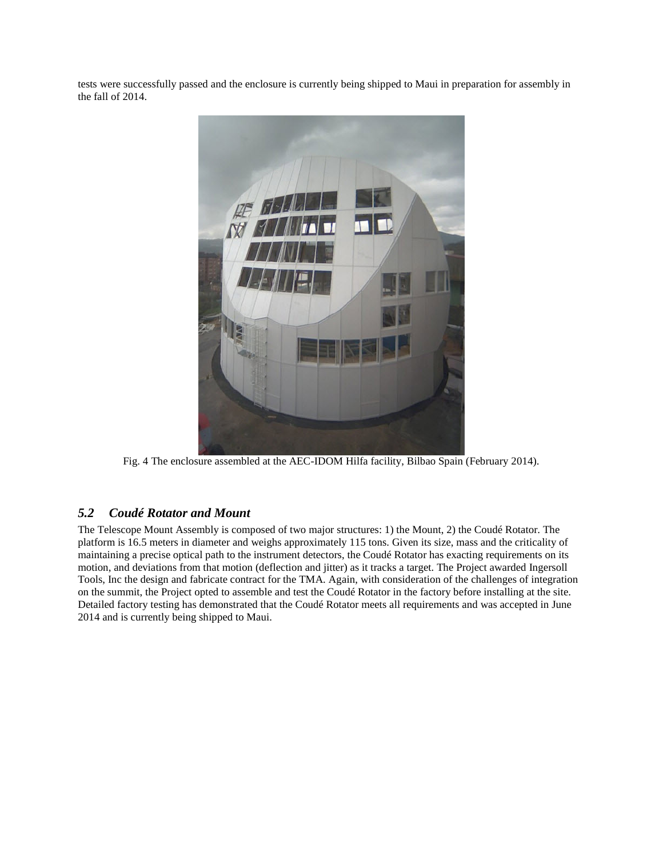tests were successfully passed and the enclosure is currently being shipped to Maui in preparation for assembly in the fall of 2014.



Fig. 4 The enclosure assembled at the AEC-IDOM Hilfa facility, Bilbao Spain (February 2014).

## *5.2 Coudé Rotator and Mount*

The Telescope Mount Assembly is composed of two major structures: 1) the Mount, 2) the Coudé Rotator. The platform is 16.5 meters in diameter and weighs approximately 115 tons. Given its size, mass and the criticality of maintaining a precise optical path to the instrument detectors, the Coudé Rotator has exacting requirements on its motion, and deviations from that motion (deflection and jitter) as it tracks a target. The Project awarded Ingersoll Tools, Inc the design and fabricate contract for the TMA. Again, with consideration of the challenges of integration on the summit, the Project opted to assemble and test the Coudé Rotator in the factory before installing at the site. Detailed factory testing has demonstrated that the Coudé Rotator meets all requirements and was accepted in June 2014 and is currently being shipped to Maui.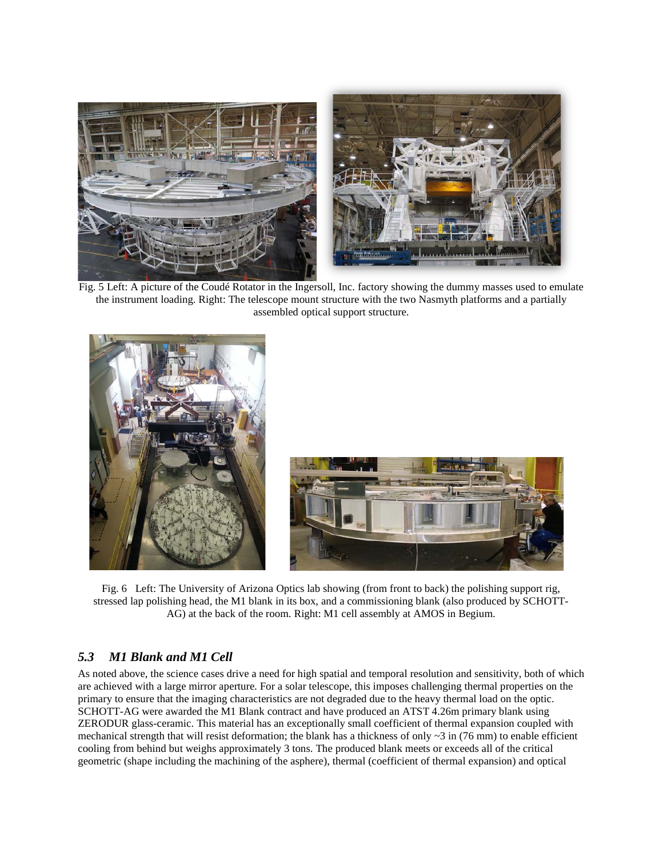

Fig. 5 Left: A picture of the Coudé Rotator in the Ingersoll, Inc. factory showing the dummy masses used to emulate the instrument loading. Right: The telescope mount structure with the two Nasmyth platforms and a partially assembled optical support structure.





Fig. 6 Left: The University of Arizona Optics lab showing (from front to back) the polishing support rig, stressed lap polishing head, the M1 blank in its box, and a commissioning blank (also produced by SCHOTT-AG) at the back of the room. Right: M1 cell assembly at AMOS in Begium.

## *5.3 M1 Blank and M1 Cell*

As noted above, the science cases drive a need for high spatial and temporal resolution and sensitivity, both of which are achieved with a large mirror aperture. For a solar telescope, this imposes challenging thermal properties on the primary to ensure that the imaging characteristics are not degraded due to the heavy thermal load on the optic. SCHOTT-AG were awarded the M1 Blank contract and have produced an ATST 4.26m primary blank using ZERODUR glass-ceramic. This material has an exceptionally small coefficient of thermal expansion coupled with mechanical strength that will resist deformation; the blank has a thickness of only  $\sim$ 3 in (76 mm) to enable efficient cooling from behind but weighs approximately 3 tons. The produced blank meets or exceeds all of the critical geometric (shape including the machining of the asphere), thermal (coefficient of thermal expansion) and optical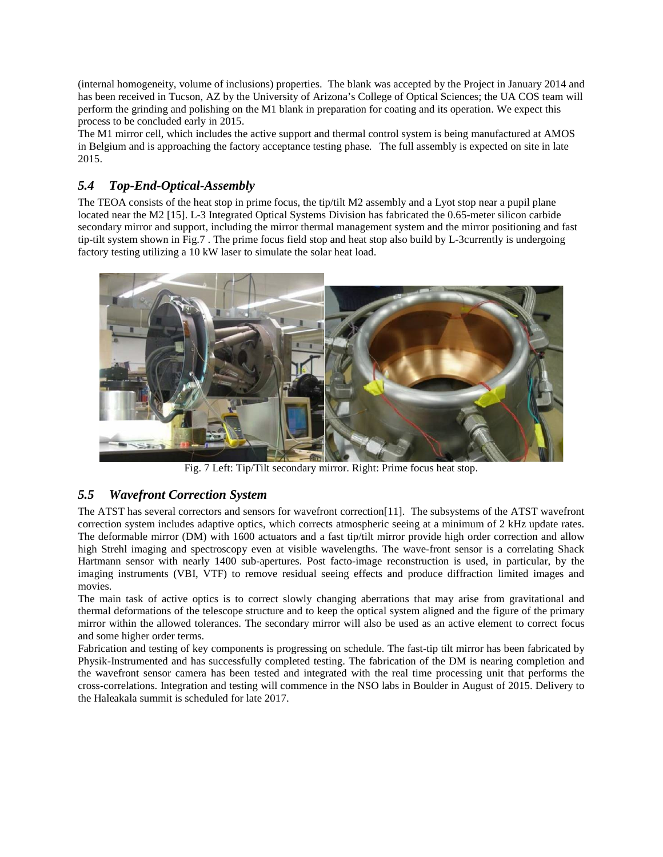(internal homogeneity, volume of inclusions) properties. The blank was accepted by the Project in January 2014 and has been received in Tucson, AZ by the University of Arizona's College of Optical Sciences; the UA COS team will perform the grinding and polishing on the M1 blank in preparation for coating and its operation. We expect this process to be concluded early in 2015.

The M1 mirror cell, which includes the active support and thermal control system is being manufactured at AMOS in Belgium and is approaching the factory acceptance testing phase. The full assembly is expected on site in late 2015.

## *5.4 Top-End-Optical-Assembly*

The TEOA consists of the heat stop in prime focus, the tip/tilt M2 assembly and a Lyot stop near a pupil plane located near the M2 [15]. L-3 Integrated Optical Systems Division has fabricated the 0.65-meter silicon carbide secondary mirror and support, including the mirror thermal management system and the mirror positioning and fast tip-tilt system shown in Fig.7 . The prime focus field stop and heat stop also build by L-3currently is undergoing factory testing utilizing a 10 kW laser to simulate the solar heat load.



Fig. 7 Left: Tip/Tilt secondary mirror. Right: Prime focus heat stop.

## *5.5 Wavefront Correction System*

The ATST has several correctors and sensors for wavefront correction[11]. The subsystems of the ATST wavefront correction system includes adaptive optics, which corrects atmospheric seeing at a minimum of 2 kHz update rates. The deformable mirror (DM) with 1600 actuators and a fast tip/tilt mirror provide high order correction and allow high Strehl imaging and spectroscopy even at visible wavelengths. The wave-front sensor is a correlating Shack Hartmann sensor with nearly 1400 sub-apertures. Post facto-image reconstruction is used, in particular, by the imaging instruments (VBI, VTF) to remove residual seeing effects and produce diffraction limited images and movies.

The main task of active optics is to correct slowly changing aberrations that may arise from gravitational and thermal deformations of the telescope structure and to keep the optical system aligned and the figure of the primary mirror within the allowed tolerances. The secondary mirror will also be used as an active element to correct focus and some higher order terms.

Fabrication and testing of key components is progressing on schedule. The fast-tip tilt mirror has been fabricated by Physik-Instrumented and has successfully completed testing. The fabrication of the DM is nearing completion and the wavefront sensor camera has been tested and integrated with the real time processing unit that performs the cross-correlations. Integration and testing will commence in the NSO labs in Boulder in August of 2015. Delivery to the Haleakala summit is scheduled for late 2017.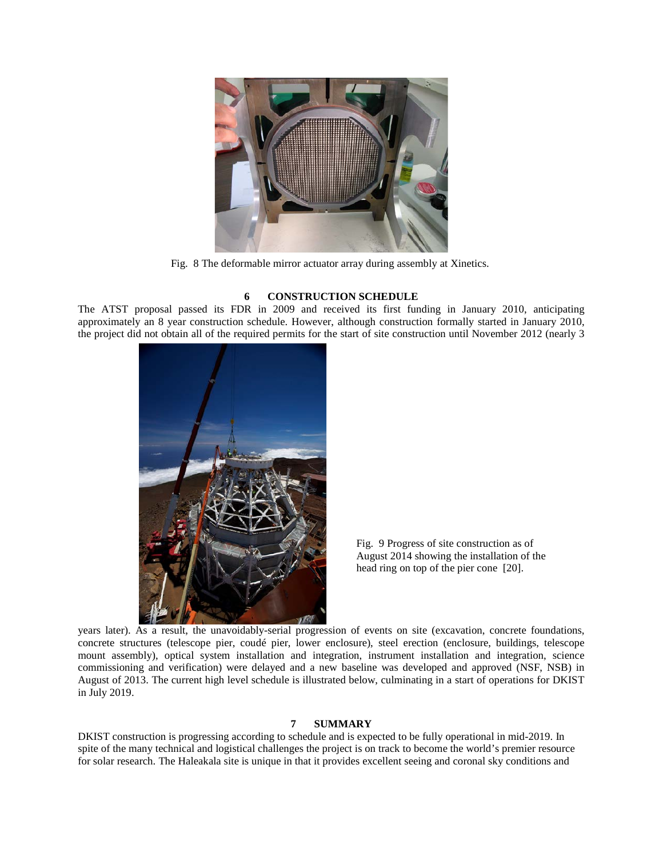

Fig. 8 The deformable mirror actuator array during assembly at Xinetics.

### **6 CONSTRUCTION SCHEDULE**

The ATST proposal passed its FDR in 2009 and received its first funding in January 2010, anticipating approximately an 8 year construction schedule. However, although construction formally started in January 2010, the project did not obtain all of the required permits for the start of site construction until November 2012 (nearly 3





years later). As a result, the unavoidably-serial progression of events on site (excavation, concrete foundations, concrete structures (telescope pier, coudé pier, lower enclosure), steel erection (enclosure, buildings, telescope mount assembly), optical system installation and integration, instrument installation and integration, science commissioning and verification) were delayed and a new baseline was developed and approved (NSF, NSB) in August of 2013. The current high level schedule is illustrated below, culminating in a start of operations for DKIST in July 2019.

#### **7 SUMMARY**

DKIST construction is progressing according to schedule and is expected to be fully operational in mid-2019. In spite of the many technical and logistical challenges the project is on track to become the world's premier resource for solar research. The Haleakala site is unique in that it provides excellent seeing and coronal sky conditions and